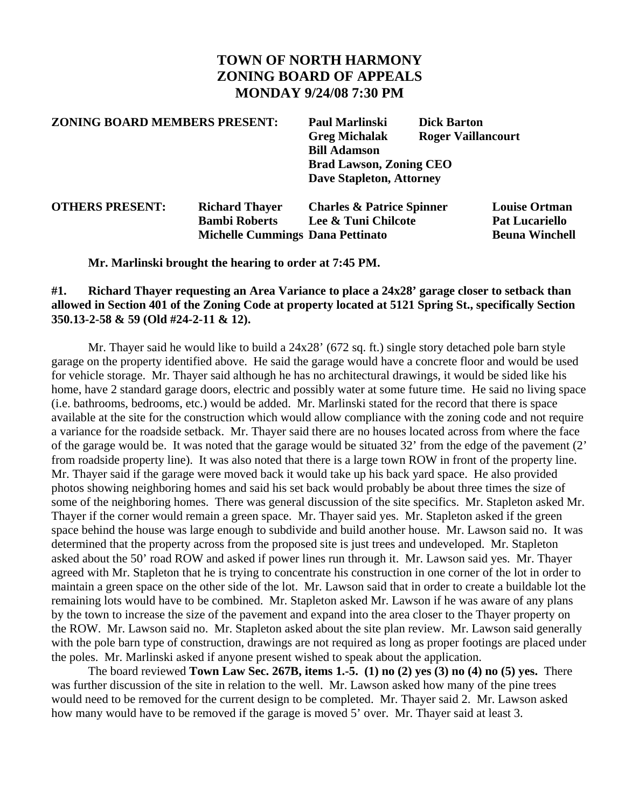# **TOWN OF NORTH HARMONY ZONING BOARD OF APPEALS MONDAY 9/24/08 7:30 PM**

#### **ZONING BOARD MEMBERS PRESENT: Paul Marlinski Dick Barton**

 **Greg Michalak Roger Vaillancourt Bill Adamson Brad Lawson, Zoning CEO Dave Stapleton, Attorney** 

| <b>OTHERS PRESENT:</b> | <b>Richard Thayer</b>                   | <b>Charles &amp; Patrice Spinner</b> | <b>Louise Ortman</b>  |
|------------------------|-----------------------------------------|--------------------------------------|-----------------------|
|                        | <b>Bambi Roberts</b>                    | Lee & Tuni Chilcote                  | <b>Pat Lucariello</b> |
|                        | <b>Michelle Cummings Dana Pettinato</b> |                                      | <b>Beuna Winchell</b> |

 **Mr. Marlinski brought the hearing to order at 7:45 PM.** 

### **#1. Richard Thayer requesting an Area Variance to place a 24x28' garage closer to setback than allowed in Section 401 of the Zoning Code at property located at 5121 Spring St., specifically Section 350.13-2-58 & 59 (Old #24-2-11 & 12).**

 Mr. Thayer said he would like to build a 24x28' (672 sq. ft.) single story detached pole barn style garage on the property identified above. He said the garage would have a concrete floor and would be used for vehicle storage. Mr. Thayer said although he has no architectural drawings, it would be sided like his home, have 2 standard garage doors, electric and possibly water at some future time. He said no living space (i.e. bathrooms, bedrooms, etc.) would be added. Mr. Marlinski stated for the record that there is space available at the site for the construction which would allow compliance with the zoning code and not require a variance for the roadside setback. Mr. Thayer said there are no houses located across from where the face of the garage would be. It was noted that the garage would be situated 32' from the edge of the pavement (2' from roadside property line). It was also noted that there is a large town ROW in front of the property line. Mr. Thayer said if the garage were moved back it would take up his back yard space. He also provided photos showing neighboring homes and said his set back would probably be about three times the size of some of the neighboring homes. There was general discussion of the site specifics. Mr. Stapleton asked Mr. Thayer if the corner would remain a green space. Mr. Thayer said yes. Mr. Stapleton asked if the green space behind the house was large enough to subdivide and build another house. Mr. Lawson said no. It was determined that the property across from the proposed site is just trees and undeveloped. Mr. Stapleton asked about the 50' road ROW and asked if power lines run through it. Mr. Lawson said yes. Mr. Thayer agreed with Mr. Stapleton that he is trying to concentrate his construction in one corner of the lot in order to maintain a green space on the other side of the lot. Mr. Lawson said that in order to create a buildable lot the remaining lots would have to be combined. Mr. Stapleton asked Mr. Lawson if he was aware of any plans by the town to increase the size of the pavement and expand into the area closer to the Thayer property on the ROW. Mr. Lawson said no. Mr. Stapleton asked about the site plan review. Mr. Lawson said generally with the pole barn type of construction, drawings are not required as long as proper footings are placed under the poles. Mr. Marlinski asked if anyone present wished to speak about the application.

 The board reviewed **Town Law Sec. 267B, items 1.-5. (1) no (2) yes (3) no (4) no (5) yes.** There was further discussion of the site in relation to the well. Mr. Lawson asked how many of the pine trees would need to be removed for the current design to be completed. Mr. Thayer said 2. Mr. Lawson asked how many would have to be removed if the garage is moved 5' over. Mr. Thayer said at least 3.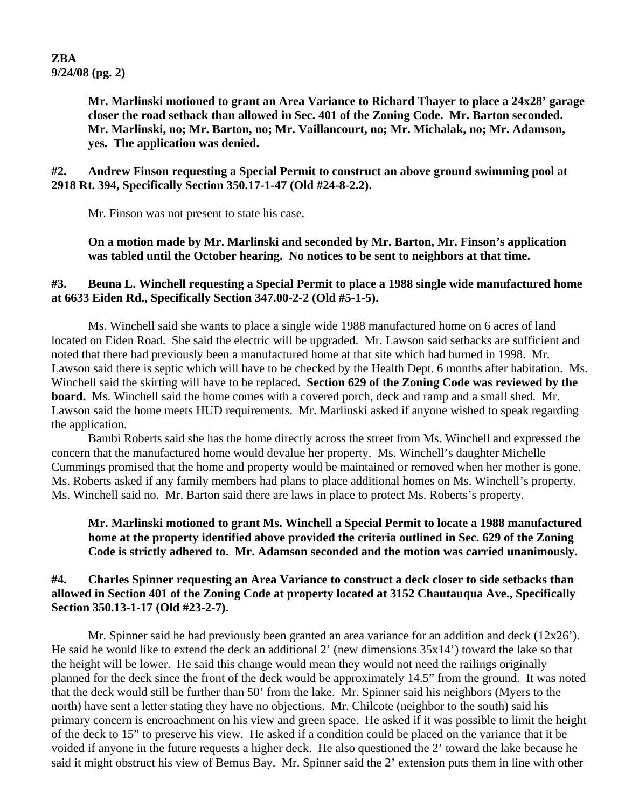## **ZBA 9/24/08 (pg. 2)**

**Mr. Marlinski motioned to grant an Area Variance to Richard Thayer to place a 24x28' garage closer the road setback than allowed in Sec. 401 of the Zoning Code. Mr. Barton seconded. Mr. Marlinski, no; Mr. Barton, no; Mr. Vaillancourt, no; Mr. Michalak, no; Mr. Adamson, yes. The application was denied.** 

**#2. Andrew Finson requesting a Special Permit to construct an above ground swimming pool at 2918 Rt. 394, Specifically Section 350.17-1-47 (Old #24-8-2.2).** 

Mr. Finson was not present to state his case.

 **On a motion made by Mr. Marlinski and seconded by Mr. Barton, Mr. Finson's application was tabled until the October hearing. No notices to be sent to neighbors at that time.** 

### **#3. Beuna L. Winchell requesting a Special Permit to place a 1988 single wide manufactured home at 6633 Eiden Rd., Specifically Section 347.00-2-2 (Old #5-1-5).**

Ms. Winchell said she wants to place a single wide 1988 manufactured home on 6 acres of land located on Eiden Road. She said the electric will be upgraded. Mr. Lawson said setbacks are sufficient and noted that there had previously been a manufactured home at that site which had burned in 1998. Mr. Lawson said there is septic which will have to be checked by the Health Dept. 6 months after habitation. Ms. Winchell said the skirting will have to be replaced. **Section 629 of the Zoning Code was reviewed by the board.** Ms. Winchell said the home comes with a covered porch, deck and ramp and a small shed. Mr. Lawson said the home meets HUD requirements. Mr. Marlinski asked if anyone wished to speak regarding the application.

 Bambi Roberts said she has the home directly across the street from Ms. Winchell and expressed the concern that the manufactured home would devalue her property. Ms. Winchell's daughter Michelle Cummings promised that the home and property would be maintained or removed when her mother is gone. Ms. Roberts asked if any family members had plans to place additional homes on Ms. Winchell's property. Ms. Winchell said no. Mr. Barton said there are laws in place to protect Ms. Roberts's property.

### **Mr. Marlinski motioned to grant Ms. Winchell a Special Permit to locate a 1988 manufactured home at the property identified above provided the criteria outlined in Sec. 629 of the Zoning Code is strictly adhered to. Mr. Adamson seconded and the motion was carried unanimously.**

#### **#4. Charles Spinner requesting an Area Variance to construct a deck closer to side setbacks than allowed in Section 401 of the Zoning Code at property located at 3152 Chautauqua Ave., Specifically Section 350.13-1-17 (Old #23-2-7).**

Mr. Spinner said he had previously been granted an area variance for an addition and deck (12x26'). He said he would like to extend the deck an additional 2' (new dimensions 35x14') toward the lake so that the height will be lower. He said this change would mean they would not need the railings originally planned for the deck since the front of the deck would be approximately 14.5" from the ground. It was noted that the deck would still be further than 50' from the lake. Mr. Spinner said his neighbors (Myers to the north) have sent a letter stating they have no objections. Mr. Chilcote (neighbor to the south) said his primary concern is encroachment on his view and green space. He asked if it was possible to limit the height of the deck to 15" to preserve his view. He asked if a condition could be placed on the variance that it be voided if anyone in the future requests a higher deck. He also questioned the 2' toward the lake because he said it might obstruct his view of Bemus Bay. Mr. Spinner said the 2' extension puts them in line with other